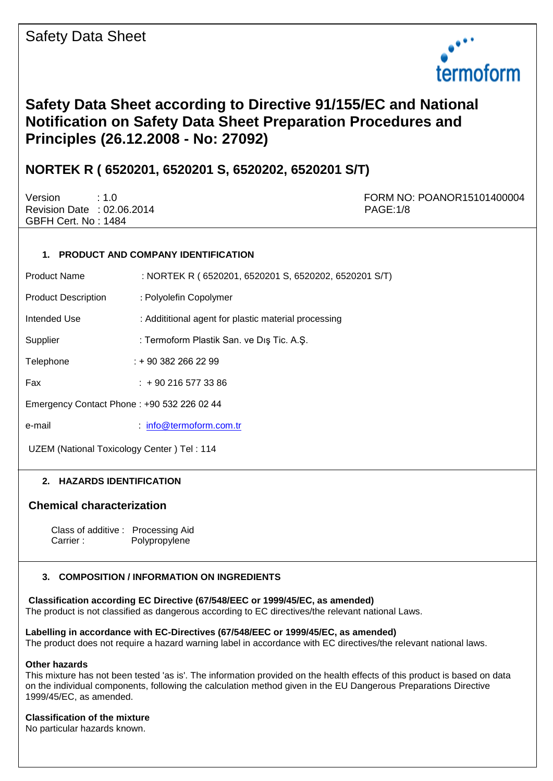

# **Safety Data Sheet according to Directive 91/155/EC and National Notification on Safety Data Sheet Preparation Procedures and Principles (26.12.2008 - No: 27092)**

## **NORTEK R ( 6520201, 6520201 S, 6520202, 6520201 S/T)**

Revision Date : 02.06.2014 PAGE:1/8 GBFH Cert. No : 1484

Version : 1.0 FORM NO: POANOR15101400004

## **1. PRODUCT AND COMPANY IDENTIFICATION**

Product Name : NORTEK R ( 6520201, 6520201 S, 6520202, 6520201 S/T)

Product Description : Polyolefin Copolymer

Intended Use : Addititional agent for plastic material processing

Supplier : Termoform Plastik San. ve Dış Tic. A.Ş.

Telephone : + 90 382 266 22 99

Fax : + 90 216 577 33 86

Emergency Contact Phone : +90 532 226 02 44

e-mail : [info@termoform.com.tr](mailto:info@termoform.com.tr)

UZEM (National Toxicology Center ) Tel : 114

## **2. HAZARDS IDENTIFICATION**

## **Chemical characterization**

 Class of additive : Processing Aid Carrier : Polypropylene

## **3. COMPOSITION / INFORMATION ON INGREDIENTS**

**Classification according EC Directive (67/548/EEC or 1999/45/EC, as amended)** 

The product is not classified as dangerous according to EC directives/the relevant national Laws.

## **Labelling in accordance with EC-Directives (67/548/EEC or 1999/45/EC, as amended)**

The product does not require a hazard warning label in accordance with EC directives/the relevant national laws.

## **Other hazards**

This mixture has not been tested 'as is'. The information provided on the health effects of this product is based on data on the individual components, following the calculation method given in the EU Dangerous Preparations Directive 1999/45/EC, as amended.

## **Classification of the mixture**

No particular hazards known.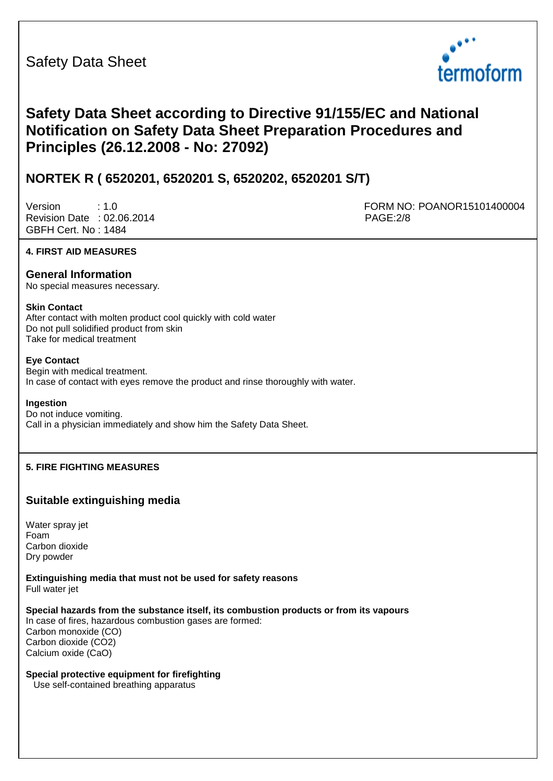

# **Safety Data Sheet according to Directive 91/155/EC and National Notification on Safety Data Sheet Preparation Procedures and Principles (26.12.2008 - No: 27092)**

## **NORTEK R ( 6520201, 6520201 S, 6520202, 6520201 S/T)**

Revision Date : 02.06.2014 PAGE:2/8 GBFH Cert. No : 1484

Version : 1.0 FORM NO: POANOR15101400004

## **4. FIRST AID MEASURES**

## **General Information**

No special measures necessary.

#### **Skin Contact**

After contact with molten product cool quickly with cold water Do not pull solidified product from skin Take for medical treatment

## **Eye Contact**

Begin with medical treatment. In case of contact with eyes remove the product and rinse thoroughly with water.

#### **Ingestion**

Do not induce vomiting. Call in a physician immediately and show him the Safety Data Sheet.

## **5. FIRE FIGHTING MEASURES**

## **Suitable extinguishing media**

Water spray jet Foam Carbon dioxide Dry powder

**Extinguishing media that must not be used for safety reasons**  Full water jet

## **Special hazards from the substance itself, its combustion products or from its vapours**

In case of fires, hazardous combustion gases are formed: Carbon monoxide (CO) Carbon dioxide (CO2) Calcium oxide (CaO)

## **Special protective equipment for firefighting**

Use self-contained breathing apparatus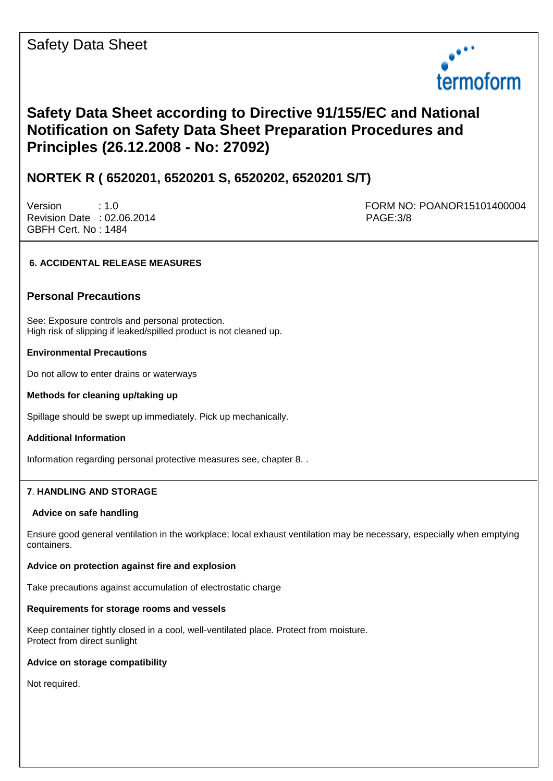

# **Safety Data Sheet according to Directive 91/155/EC and National Notification on Safety Data Sheet Preparation Procedures and Principles (26.12.2008 - No: 27092)**

## **NORTEK R ( 6520201, 6520201 S, 6520202, 6520201 S/T)**

Revision Date : 02.06.2014 **PAGE:3/8** GBFH Cert. No : 1484

Version : 1.0 FORM NO: POANOR15101400004

## **6. ACCIDENTAL RELEASE MEASURES**

## **Personal Precautions**

See: Exposure controls and personal protection. High risk of slipping if leaked/spilled product is not cleaned up.

## **Environmental Precautions**

Do not allow to enter drains or waterways

### **Methods for cleaning up/taking up**

Spillage should be swept up immediately. Pick up mechanically.

## **Additional Information**

Information regarding personal protective measures see, chapter 8. .

## **7**. **HANDLING AND STORAGE**

#### **Advice on safe handling**

Ensure good general ventilation in the workplace; local exhaust ventilation may be necessary, especially when emptying containers.

## **Advice on protection against fire and explosion**

Take precautions against accumulation of electrostatic charge

#### **Requirements for storage rooms and vessels**

Keep container tightly closed in a cool, well-ventilated place. Protect from moisture. Protect from direct sunlight

## **Advice on storage compatibility**

Not required.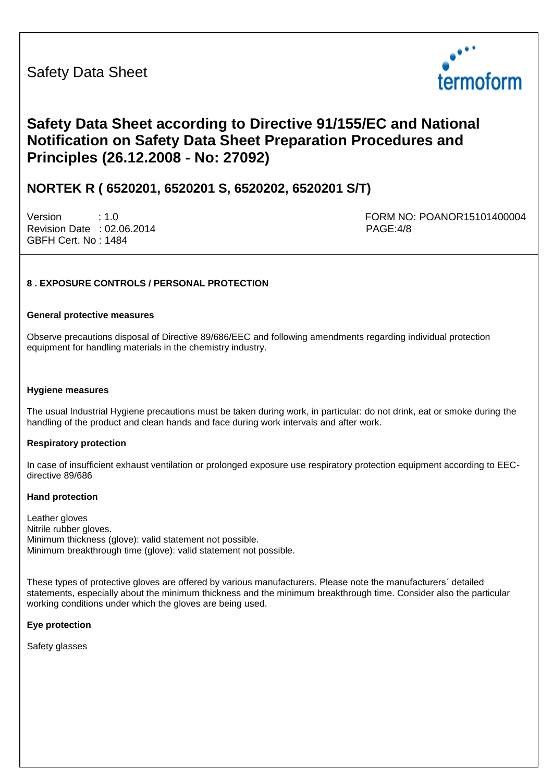

# **Safety Data Sheet according to Directive 91/155/EC and National Notification on Safety Data Sheet Preparation Procedures and Principles (26.12.2008 - No: 27092)**

## **NORTEK R ( 6520201, 6520201 S, 6520202, 6520201 S/T)**

Revision Date : 02.06.2014 **PAGE:4/8** GBFH Cert. No : 1484

Version : 1.0 FORM NO: POANOR15101400004

## **8 . EXPOSURE CONTROLS / PERSONAL PROTECTION**

#### **General protective measures**

Observe precautions disposal of Directive 89/686/EEC and following amendments regarding individual protection equipment for handling materials in the chemistry industry.

#### **Hygiene measures**

The usual Industrial Hygiene precautions must be taken during work, in particular: do not drink, eat or smoke during the handling of the product and clean hands and face during work intervals and after work.

#### **Respiratory protection**

In case of insufficient exhaust ventilation or prolonged exposure use respiratory protection equipment according to EECdirective 89/686

#### **Hand protection**

Leather gloves Nitrile rubber gloves. Minimum thickness (glove): valid statement not possible. Minimum breakthrough time (glove): valid statement not possible.

These types of protective gloves are offered by various manufacturers. Please note the manufacturers´ detailed statements, especially about the minimum thickness and the minimum breakthrough time. Consider also the particular working conditions under which the gloves are being used.

#### **Eye protection**

Safety glasses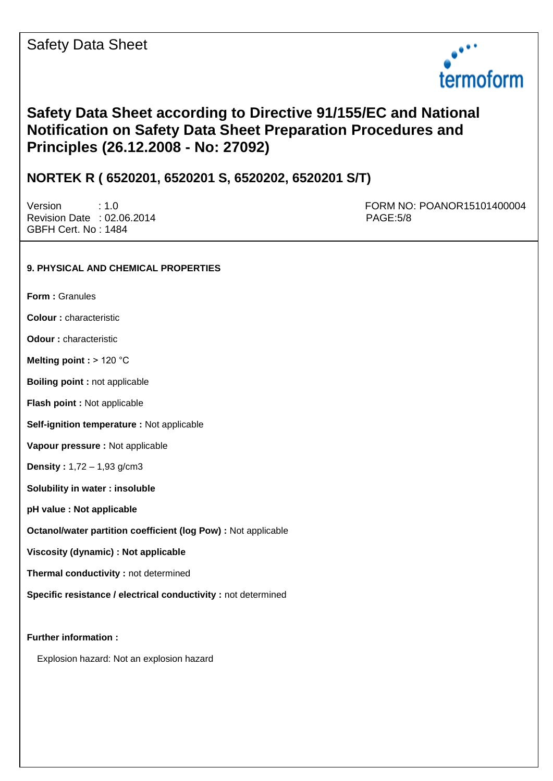

## **Safety Data Sheet according to Directive 91/155/EC and National Notification on Safety Data Sheet Preparation Procedures and Principles (26.12.2008 - No: 27092)**

## **NORTEK R ( 6520201, 6520201 S, 6520202, 6520201 S/T)**

Revision Date : 02.06.2014 **PAGE:5/8** GBFH Cert. No : 1484

Version : 1.0 FORM NO: POANOR15101400004

## **9. PHYSICAL AND CHEMICAL PROPERTIES**

**Form :** Granules

**Colour :** characteristic

**Odour :** characteristic

**Melting point :** > 120 °C

**Boiling point :** not applicable

**Flash point :** Not applicable

**Self-ignition temperature :** Not applicable

**Vapour pressure :** Not applicable

**Density :** 1,72 – 1,93 g/cm3

**Solubility in water : insoluble** 

**pH value : Not applicable** 

**Octanol/water partition coefficient (log Pow) :** Not applicable

**Viscosity (dynamic) : Not applicable** 

**Thermal conductivity :** not determined

**Specific resistance / electrical conductivity : not determined** 

**Further information :** 

Explosion hazard: Not an explosion hazard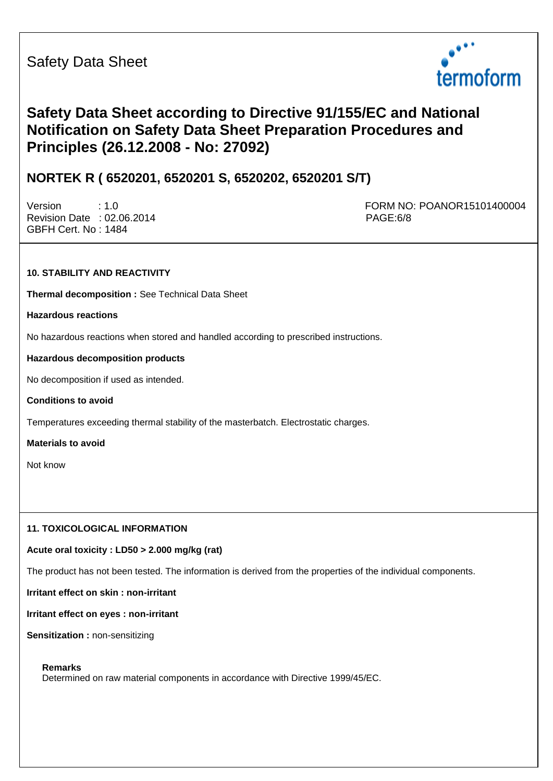

# **Safety Data Sheet according to Directive 91/155/EC and National Notification on Safety Data Sheet Preparation Procedures and Principles (26.12.2008 - No: 27092)**

## **NORTEK R ( 6520201, 6520201 S, 6520202, 6520201 S/T)**

Revision Date : 02.06.2014 **PAGE:6/8** GBFH Cert. No : 1484

Version : 1.0 FORM NO: POANOR15101400004

## **10. STABILITY AND REACTIVITY**

**Thermal decomposition :** See Technical Data Sheet

**Hazardous reactions** 

No hazardous reactions when stored and handled according to prescribed instructions.

## **Hazardous decomposition products**

No decomposition if used as intended.

**Conditions to avoid** 

Temperatures exceeding thermal stability of the masterbatch. Electrostatic charges.

**Materials to avoid** 

Not know

## **11. TOXICOLOGICAL INFORMATION**

## **Acute oral toxicity : LD50 > 2.000 mg/kg (rat)**

The product has not been tested. The information is derived from the properties of the individual components.

**Irritant effect on skin : non-irritant** 

**Irritant effect on eyes : non-irritant** 

**Sensitization :** non-sensitizing

## **Remarks**

Determined on raw material components in accordance with Directive 1999/45/EC.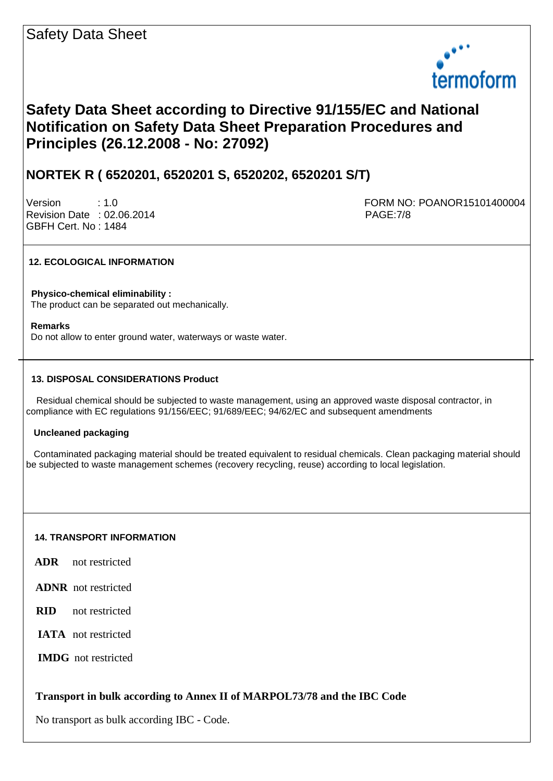

# **Safety Data Sheet according to Directive 91/155/EC and National Notification on Safety Data Sheet Preparation Procedures and Principles (26.12.2008 - No: 27092)**

## **NORTEK R ( 6520201, 6520201 S, 6520202, 6520201 S/T)**

Revision Date : 02.06.2014 PAGE:7/8 GBFH Cert. No : 1484

Version : 1.0 FORM NO: POANOR15101400004

## **12. ECOLOGICAL INFORMATION**

 **Physico-chemical eliminability :**  The product can be separated out mechanically.

#### **Remarks**

Do not allow to enter ground water, waterways or waste water.

#### **13. DISPOSAL CONSIDERATIONS Product**

 Residual chemical should be subjected to waste management, using an approved waste disposal contractor, in compliance with EC regulations 91/156/EEC; 91/689/EEC; 94/62/EC and subsequent amendments

## **Uncleaned packaging**

 Contaminated packaging material should be treated equivalent to residual chemicals. Clean packaging material should be subjected to waste management schemes (recovery recycling, reuse) according to local legislation.

#### **14. TRANSPORT INFORMATION**

- **ADR** not restricted
- **ADNR** not restricted
- **RID** not restricted
- **IATA** not restricted
- **IMDG** not restricted

## **Transport in bulk according to Annex II of MARPOL73/78 and the IBC Code**

No transport as bulk according IBC - Code.